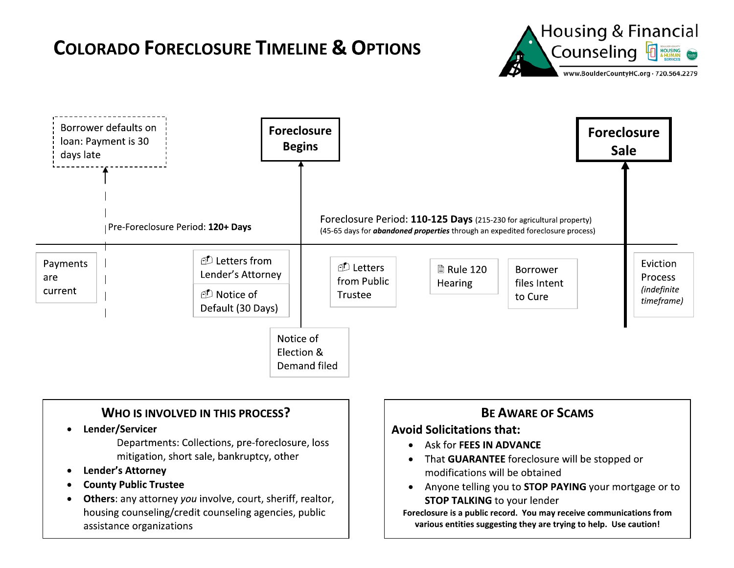



- 
- 
- 

- 
- re, loss<br>
 Ask for FEES IN ADVA<br>
 That GUARANTEE for<br>
modifications will be<br>
 Anyone telling you to<br>
Foreclosure is a public strive of the strategy of the strive of the strive of the strive of the strive of the strive o
- **13D \text{B}**<br> **13D \text{B}**<br> **13D \text{B}**<br> **4Void Solicitations that:**<br>
 Ask for FEES IN ADVANCE<br>
 That GUARANTEE foreclosure will be stopped or<br>
modifications will be obtained<br>
 Anyone telling you to **STOP PAYING** NCE<br>closure will be stopped or<br>btained<br>STOP PAYING your mortgage or to<br>clender<br>ou may receive communications from<br>ney are trying to help. Use caution!